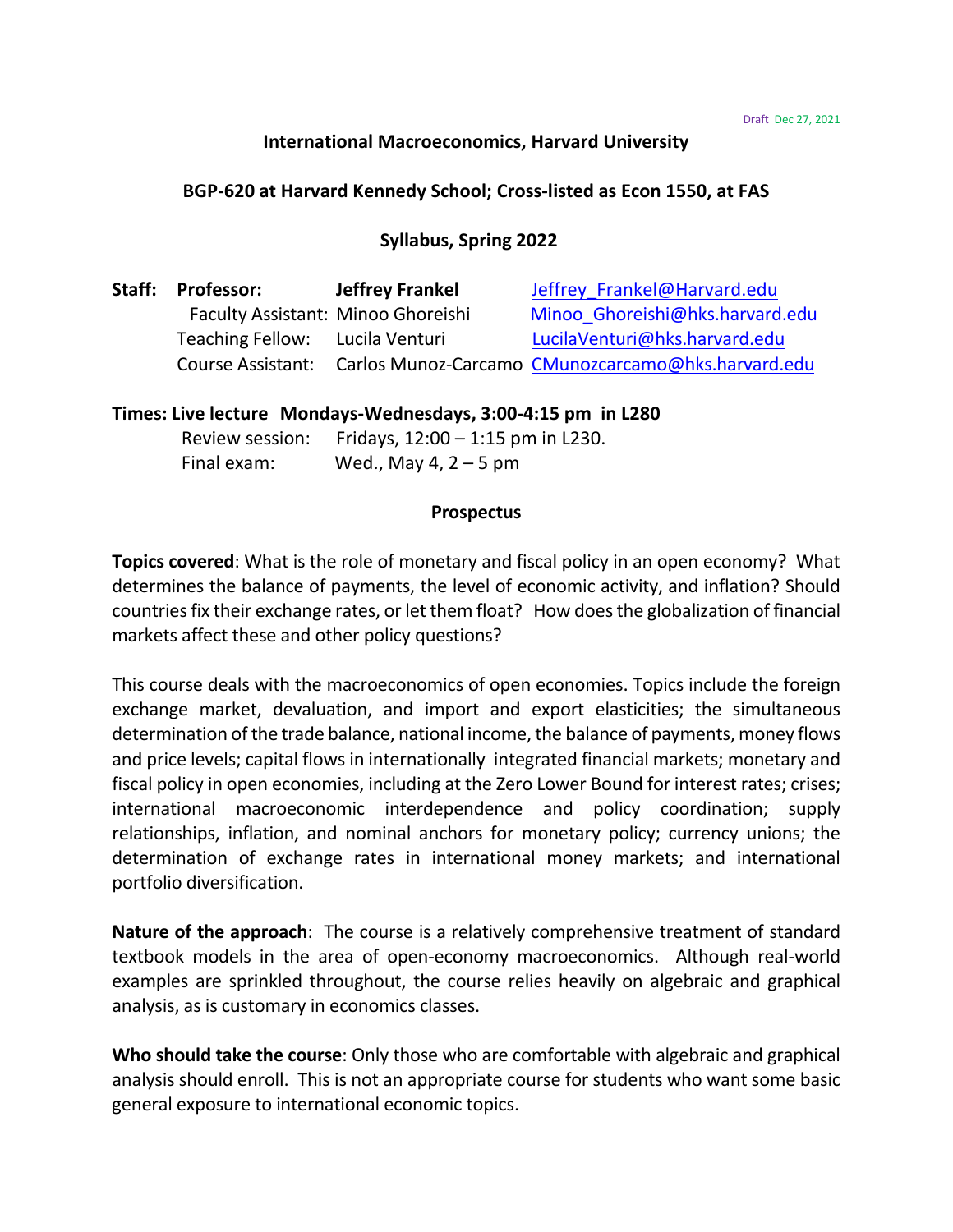## **International Macroeconomics, Harvard University**

### **BGP-620 at Harvard Kennedy School; Cross-listed as Econ 1550, at FAS**

# **Syllabus, Spring 2022**

| Staff: | <b>Professor:</b>                  | <b>Jeffrey Frankel</b> | Jeffrey Frankel@Harvard.edu                                          |
|--------|------------------------------------|------------------------|----------------------------------------------------------------------|
|        | Faculty Assistant: Minoo Ghoreishi |                        | Minoo Ghoreishi@hks.harvard.edu                                      |
|        | Teaching Fellow: Lucila Venturi    |                        | LucilaVenturi@hks.harvard.edu                                        |
|        |                                    |                        | Course Assistant: Carlos Munoz-Carcamo CMunozcarcamo@hks.harvard.edu |

## **Times: Live lecture Mondays-Wednesdays, 3:00-4:15 pm in L280**

Review session: Fridays,  $12:00 - 1:15$  pm in L230. Final exam: Wed., May 4,  $2 - 5$  pm

#### **Prospectus**

**Topics covered**: What is the role of monetary and fiscal policy in an open economy? What determines the balance of payments, the level of economic activity, and inflation? Should countries fix their exchange rates, or let them float? How does the globalization of financial markets affect these and other policy questions?

This course deals with the macroeconomics of open economies. Topics include the foreign exchange market, devaluation, and import and export elasticities; the simultaneous determination of the trade balance, national income, the balance of payments, money flows and price levels; capital flows in internationally integrated financial markets; monetary and fiscal policy in open economies, including at the Zero Lower Bound for interest rates; crises; international macroeconomic interdependence and policy coordination; supply relationships, inflation, and nominal anchors for monetary policy; currency unions; the determination of exchange rates in international money markets; and international portfolio diversification.

**Nature of the approach**: The course is a relatively comprehensive treatment of standard textbook models in the area of open-economy macroeconomics. Although real-world examples are sprinkled throughout, the course relies heavily on algebraic and graphical analysis, as is customary in economics classes.

**Who should take the course**: Only those who are comfortable with algebraic and graphical analysis should enroll. This is not an appropriate course for students who want some basic general exposure to international economic topics.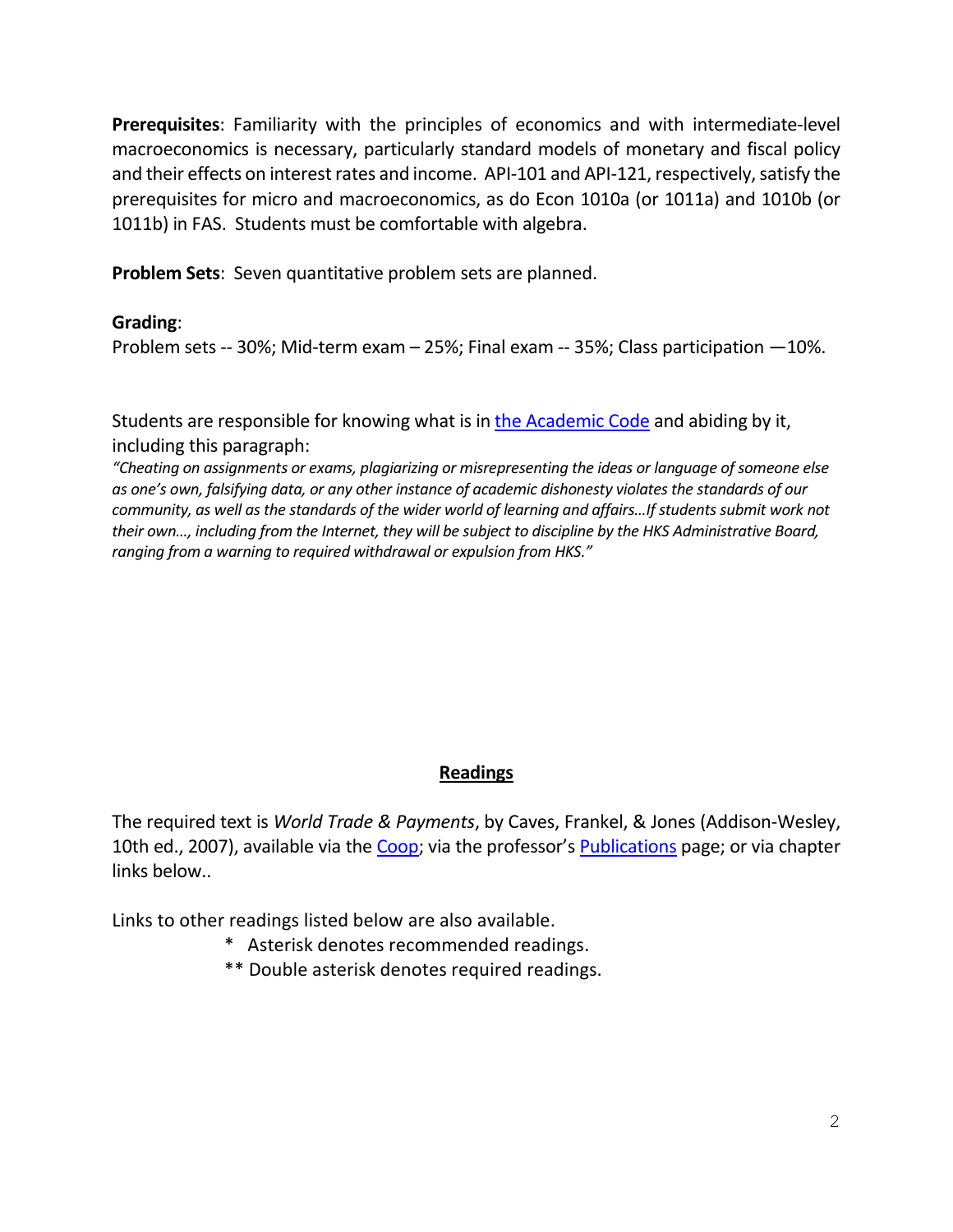**Prerequisites**: Familiarity with the principles of economics and with intermediate-level macroeconomics is necessary, particularly standard models of monetary and fiscal policy and their effects on interest rates and income. API-101 and API-121, respectively, satisfy the prerequisites for micro and macroeconomics, as do Econ 1010a (or 1011a) and 1010b (or 1011b) in FAS. Students must be comfortable with algebra.

**Problem Sets**: Seven quantitative problem sets are planned.

# **Grading**:

Problem sets -- 30%; Mid-term exam – 25%; Final exam -- 35%; Class participation —10%.

Students are responsible for knowing what is in [the Academic Code](https://www.hks.harvard.edu/educational-programs/academic-calendars-policies/student-handbook/general-regulations-and-1) and abiding by it, including this paragraph:

*"Cheating on assignments or exams, plagiarizing or misrepresenting the ideas or language of someone else as one's own, falsifying data, or any other instance of academic dishonesty violates the standards of our community, as well as the standards of the wider world of learning and affairs…If students submit work not their own…, including from the Internet, they will be subject to discipline by the HKS Administrative Board, ranging from a warning to required withdrawal or expulsion from HKS."*

# **Readings**

The required text is *World Trade & Payments*, by Caves, Frankel, & Jones (Addison-Wesley, 10th ed., 2007), available via the [Coop;](https://tinyurl.com/300-W20-ECON-1550-1) via the professor's [Publications](https://scholar.harvard.edu/frankel/publications-1) page; or via chapter links below..

Links to other readings listed below are also available.

- \* Asterisk denotes recommended readings.
- \*\* Double asterisk denotes required readings.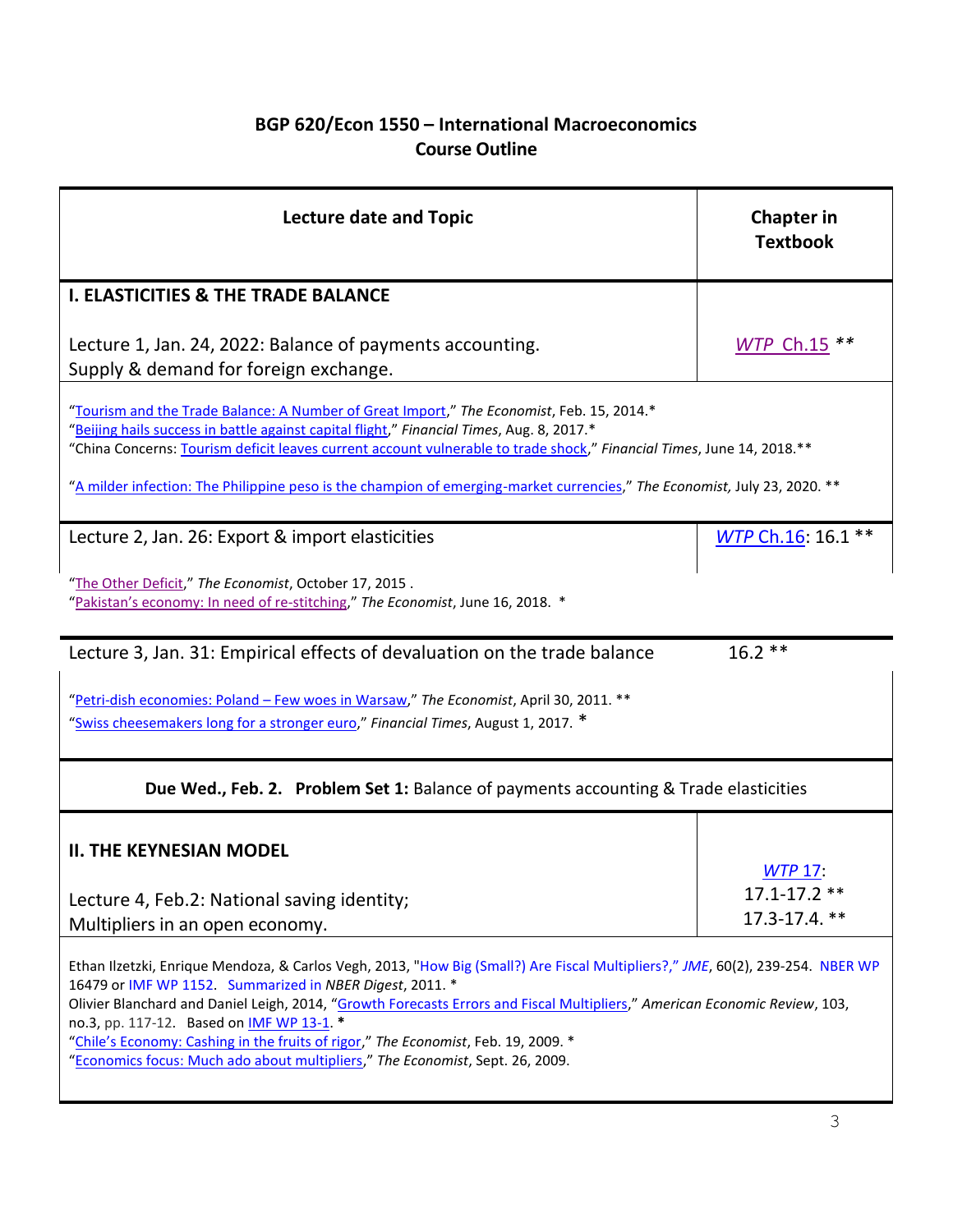# **BGP 620/Econ 1550 – International Macroeconomics Course Outline**

| <b>Lecture date and Topic</b>                                                                                                                                                                                                                                                                                                                                                                                                                | <b>Chapter in</b><br><b>Textbook</b> |  |  |  |
|----------------------------------------------------------------------------------------------------------------------------------------------------------------------------------------------------------------------------------------------------------------------------------------------------------------------------------------------------------------------------------------------------------------------------------------------|--------------------------------------|--|--|--|
| <b>I. ELASTICITIES &amp; THE TRADE BALANCE</b>                                                                                                                                                                                                                                                                                                                                                                                               |                                      |  |  |  |
| Lecture 1, Jan. 24, 2022: Balance of payments accounting.<br>Supply & demand for foreign exchange.                                                                                                                                                                                                                                                                                                                                           | WTP Ch.15 **                         |  |  |  |
| "Tourism and the Trade Balance: A Number of Great Import," The Economist, Feb. 15, 2014.*<br>"Beijing hails success in battle against capital flight," Financial Times, Aug. 8, 2017.*<br>"China Concerns: Tourism deficit leaves current account vulnerable to trade shock," Financial Times, June 14, 2018.**<br>"A milder infection: The Philippine peso is the champion of emerging-market currencies," The Economist, July 23, 2020. ** |                                      |  |  |  |
| Lecture 2, Jan. 26: Export & import elasticities                                                                                                                                                                                                                                                                                                                                                                                             | WTP Ch.16: 16.1 **                   |  |  |  |
| "The Other Deficit," The Economist, October 17, 2015.<br>"Pakistan's economy: In need of re-stitching," The Economist, June 16, 2018. *                                                                                                                                                                                                                                                                                                      |                                      |  |  |  |
| Lecture 3, Jan. 31: Empirical effects of devaluation on the trade balance                                                                                                                                                                                                                                                                                                                                                                    | $16.2**$                             |  |  |  |
| "Petri-dish economies: Poland - Few woes in Warsaw," The Economist, April 30, 2011. **<br>"Swiss cheesemakers long for a stronger euro," Financial Times, August 1, 2017. *                                                                                                                                                                                                                                                                  |                                      |  |  |  |
| Due Wed., Feb. 2. Problem Set 1: Balance of payments accounting & Trade elasticities                                                                                                                                                                                                                                                                                                                                                         |                                      |  |  |  |
| <b>II. THE KEYNESIAN MODEL</b>                                                                                                                                                                                                                                                                                                                                                                                                               | <b>WTP 17:</b>                       |  |  |  |
| Lecture 4, Feb.2: National saving identity;<br>Multipliers in an open economy.                                                                                                                                                                                                                                                                                                                                                               | $17.1 - 17.2$ **<br>17.3-17.4. **    |  |  |  |
| Ethan Ilzetzki, Enrique Mendoza, & Carlos Vegh, 2013, "How Big (Small?) Are Fiscal Multipliers?," JME, 60(2), 239-254. NBER WP<br>16479 or IMF WP 1152. Summarized in NBER Digest, 2011. *<br>Olivier Blanchard and Daniel Leigh, 2014, "Growth Forecasts Errors and Fiscal Multipliers," American Economic Review, 103,<br>no.3, pp. 117-12. Based on IMF WP 13-1. *                                                                        |                                      |  |  |  |

["Chile's Economy: Cashing in the fruits of rigor,"](http://www.economist.com/node/13145570) *The Economist*, Feb. 19, 2009. \*

"[Economics focus: Much ado about multipliers](http://www.economist.com/node/14505361)," *The Economist*, Sept. 26, 2009.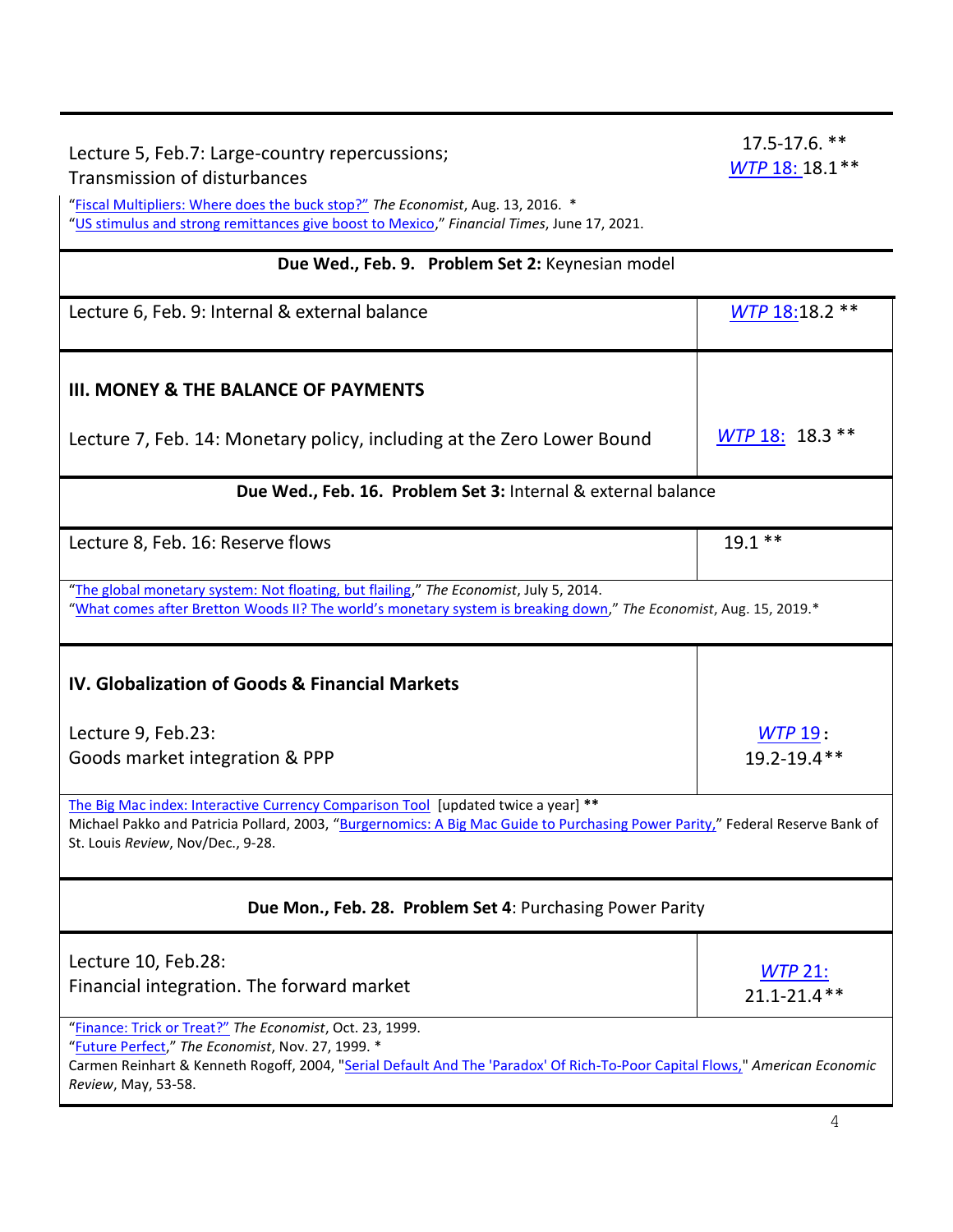Lecture 5, Feb.7: Large-country repercussions; Transmission of disturbances ["Fiscal Multipliers: Where does the buck stop?"](http://www.economist.com/news/economics-brief/21704784-fiscal-stimulus-idea-championed-john-maynard-keynes-has-gone-and-out) *The Economist*, Aug. 13, 2016. \* "[US stimulus and strong remittances give boost to Mexico](https://www.ft.com/content/87d90479-3151-4f82-b88a-33261db44fa3)," *Financial Times*, June 17, 2021. **Due Wed., Feb. 9. Problem Set 2:** Keynesian model Lecture 6, Feb. 9: Internal & external balance **[WTP](https://scholar.harvard.edu/files/frankel/files/wtpfrankel.cp18.p327-352.pdf)** 18:18.2 \*\* **III. MONEY & THE BALANCE OF PAYMENTS** Lecture 7, Feb. 14: Monetary policy, including at the Zero Lower Bound <sup>[WTP](https://scholar.harvard.edu/files/frankel/files/wtpfrankel.cp18.p327-352.pdf)</sup> 18: 18.3 \*\* **Due Wed., Feb. 16. Problem Set 3:** Internal & external balance Lecture 8, Feb. 16: Reserve flows 19.1 \*\* "[The global monetary system: Not floating, but flailing](http://www.economist.com/news/finance-and-economics/21606322-after-150-years-monetary-experimentation-world-remains-unsure-how)," *The Economist*, July 5, 2014. "What comes after Bretton Woods II? [The world's monetary system is breaking down,](https://www.economist.com/finance-and-economics/2019/08/15/what-comes-after-bretton-woods-ii)" *The Economist*, Aug. 15, 2019.\* **IV. Globalization of Goods & Financial Markets** Lecture 9, Feb.23: Goods market integration & PPP *[WTP](https://scholar.harvard.edu/files/frankel/files/wtpfrankel.cp19.p353-390.pdf)* 19: 19.2-19.4\*\* [The Big Mac index: Interactive Currency Comparison Tool](http://www.economist.com/content/big-mac-index) [updated twice a year] **\*\*** Michael Pakko and Patricia Pollard, 2003, "[Burgernomics: A Big Mac Guide to Purchasing Power Parity,](https://research.stlouisfed.org/publications/review/03/11/pakko.pdf)" Federal Reserve Bank of St. Louis *Review*, Nov/Dec., 9-28. **Due Mon., Feb. 28. Problem Set 4**: Purchasing Power Parity

> *[WTP](https://scholar.harvard.edu/files/frankel/files/wtpfrankel.cp21.p409-444.pdf)* 21: 21.1-21.4\*\*

["Finance: Trick or Treat?"](http://www.economist.com/node/252285) *The Economist*, Oct. 23, 1999. "[Future Perfect](http://www.economist.com/node/326882)," *The Economist*, Nov. 27, 1999. \* Carmen Reinhart & Kenneth Rogoff, 2004, ["Serial Default And The 'Paradox' Of Rich-To-Poor Capital Flows,"](http://ideas.repec.org/a/aea/aecrev/v94y2004i2p53-58.html) *American Economic Review*, May, 53-58.

Lecture 10, Feb.28:

Financial integration. The forward market

17.5-17.6. \*\* *[WTP](https://scholar.harvard.edu/files/frankel/files/wtpfrankel.cp18.p327-352.pdf)* 18: 18.1\*\*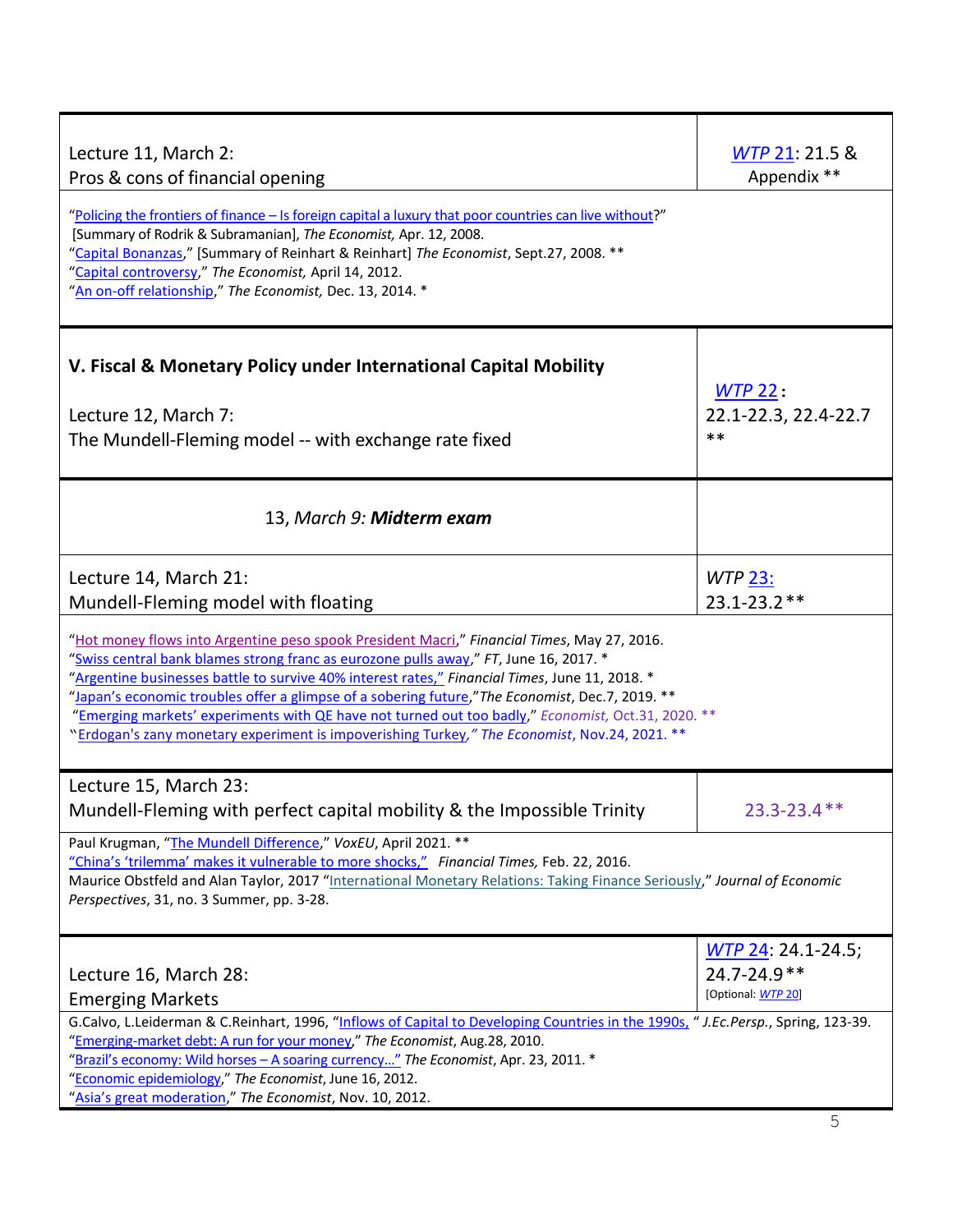| Lecture 11, March 2:<br>Pros & cons of financial opening<br>"Policing the frontiers of finance - Is foreign capital a luxury that poor countries can live without?"<br>[Summary of Rodrik & Subramanian], The Economist, Apr. 12, 2008.<br>"Capital Bonanzas," [Summary of Reinhart & Reinhart] The Economist, Sept.27, 2008. **<br>"Capital controversy," The Economist, April 14, 2012.<br>"An on-off relationship," The Economist, Dec. 13, 2014. *                                                                                                                                            | WTP 21: 21.5 &<br>Appendix **                                |  |  |  |
|---------------------------------------------------------------------------------------------------------------------------------------------------------------------------------------------------------------------------------------------------------------------------------------------------------------------------------------------------------------------------------------------------------------------------------------------------------------------------------------------------------------------------------------------------------------------------------------------------|--------------------------------------------------------------|--|--|--|
| V. Fiscal & Monetary Policy under International Capital Mobility<br>Lecture 12, March 7:<br>The Mundell-Fleming model -- with exchange rate fixed                                                                                                                                                                                                                                                                                                                                                                                                                                                 | $WTP$ 22:<br>22.1-22.3, 22.4-22.7<br>$***$                   |  |  |  |
| 13, March 9: Midterm exam                                                                                                                                                                                                                                                                                                                                                                                                                                                                                                                                                                         |                                                              |  |  |  |
| Lecture 14, March 21:<br>Mundell-Fleming model with floating                                                                                                                                                                                                                                                                                                                                                                                                                                                                                                                                      | <b>WTP 23:</b><br>$23.1 - 23.2$ **                           |  |  |  |
| "Hot money flows into Argentine peso spook President Macri," Financial Times, May 27, 2016.<br>"Swiss central bank blames strong franc as eurozone pulls away," FT, June 16, 2017. *<br>"Argentine businesses battle to survive 40% interest rates," Financial Times, June 11, 2018. *<br>"Japan's economic troubles offer a glimpse of a sobering future," The Economist, Dec.7, 2019. **<br>"Emerging markets' experiments with QE have not turned out too badly," Economist, Oct.31, 2020. **<br>"Erdogan's zany monetary experiment is impoverishing Turkey," The Economist, Nov.24, 2021. ** |                                                              |  |  |  |
| Lecture 15, March 23:<br>Mundell-Fleming with perfect capital mobility & the Impossible Trinity                                                                                                                                                                                                                                                                                                                                                                                                                                                                                                   | 23.3-23.4 **                                                 |  |  |  |
| Paul Krugman, "The Mundell Difference," VoxEU, April 2021. **<br>"China's 'trilemma' makes it vulnerable to more shocks," Financial Times, Feb. 22, 2016.<br>Maurice Obstfeld and Alan Taylor, 2017 "International Monetary Relations: Taking Finance Seriously," Journal of Economic<br>Perspectives, 31, no. 3 Summer, pp. 3-28.                                                                                                                                                                                                                                                                |                                                              |  |  |  |
| Lecture 16, March 28:<br><b>Emerging Markets</b>                                                                                                                                                                                                                                                                                                                                                                                                                                                                                                                                                  | WTP 24: 24.1-24.5;<br>$24.7 - 24.9$ **<br>[Optional: WTP 20] |  |  |  |
| G.Calvo, L.Leiderman & C.Reinhart, 1996, "Inflows of Capital to Developing Countries in the 1990s, "J.Ec.Persp., Spring, 123-39.<br>"Emerging-market debt: A run for your money," The Economist, Aug.28, 2010.<br>"Brazil's economy: Wild horses - A soaring currency" The Economist, Apr. 23, 2011. *<br>"Economic epidemiology," The Economist, June 16, 2012.<br>"Asia's great moderation," The Economist, Nov. 10, 2012.                                                                                                                                                                      |                                                              |  |  |  |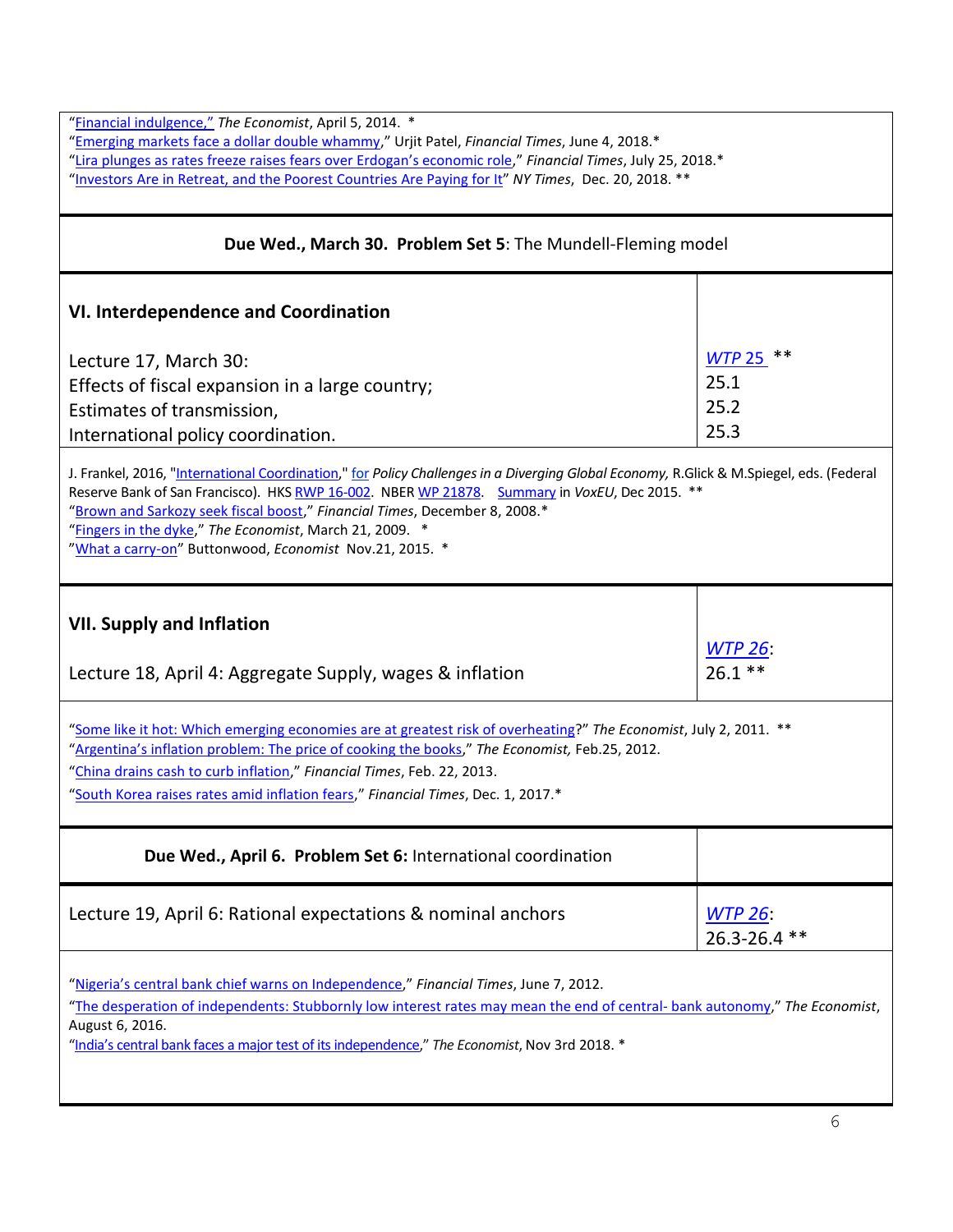| "Financial indulgence," The Economist, April 5, 2014. *<br>"Emerging markets face a dollar double whammy," Urjit Patel, Financial Times, June 4, 2018.*<br>"Lira plunges as rates freeze raises fears over Erdogan's economic role," Financial Times, July 25, 2018.*<br>"Investors Are in Retreat, and the Poorest Countries Are Paying for It" NY Times, Dec. 20, 2018. **                                                                 |                                                |  |  |  |
|----------------------------------------------------------------------------------------------------------------------------------------------------------------------------------------------------------------------------------------------------------------------------------------------------------------------------------------------------------------------------------------------------------------------------------------------|------------------------------------------------|--|--|--|
| Due Wed., March 30. Problem Set 5: The Mundell-Fleming model                                                                                                                                                                                                                                                                                                                                                                                 |                                                |  |  |  |
| <b>VI. Interdependence and Coordination</b>                                                                                                                                                                                                                                                                                                                                                                                                  |                                                |  |  |  |
| Lecture 17, March 30:<br>Effects of fiscal expansion in a large country;<br>Estimates of transmission,<br>International policy coordination.                                                                                                                                                                                                                                                                                                 | $***$<br><b>WTP 25</b><br>25.1<br>25.2<br>25.3 |  |  |  |
| J. Frankel, 2016, "International Coordination," for Policy Challenges in a Diverging Global Economy, R.Glick & M.Spiegel, eds. (Federal<br>Reserve Bank of San Francisco). HKS RWP 16-002. NBER WP 21878. Summary in VoxEU, Dec 2015. **<br>"Brown and Sarkozy seek fiscal boost," Financial Times, December 8, 2008.*<br>"Fingers in the dyke," The Economist, March 21, 2009. *<br>"What a carry-on" Buttonwood, Economist Nov.21, 2015. * |                                                |  |  |  |
| <b>VII. Supply and Inflation</b><br>Lecture 18, April 4: Aggregate Supply, wages & inflation                                                                                                                                                                                                                                                                                                                                                 | <u>WTP 26:</u><br>$26.1$ **                    |  |  |  |
| "Some like it hot: Which emerging economies are at greatest risk of overheating?" The Economist, July 2, 2011. **<br>"Argentina's inflation problem: The price of cooking the books," The Economist, Feb.25, 2012.<br>"China drains cash to curb inflation," Financial Times, Feb. 22, 2013.<br>"South Korea raises rates amid inflation fears," Financial Times, Dec. 1, 2017.*                                                             |                                                |  |  |  |
| Due Wed., April 6. Problem Set 6: International coordination                                                                                                                                                                                                                                                                                                                                                                                 |                                                |  |  |  |
| Lecture 19, April 6: Rational expectations & nominal anchors                                                                                                                                                                                                                                                                                                                                                                                 | <b>WTP 26:</b><br>26.3-26.4 **                 |  |  |  |
| "Nigeria's central bank chief warns on Independence," Financial Times, June 7, 2012.<br>"The desperation of independents: Stubbornly low interest rates may mean the end of central-bank autonomy," The Economist,<br>August 6, 2016.<br>"India's central bank faces a major test of its independence," The Economist, Nov 3rd 2018. *                                                                                                       |                                                |  |  |  |